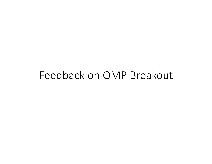## Feedback on OMP Breakout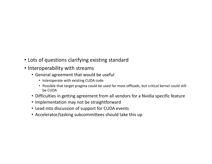- Lots of questions clarifying existing standard
- Interoperability with streams
	- General agreement that would be useful
		- Interoperate with existing CUDA code
		- Possible that target pragma could be used for most offloads, but critical kernel could still be CUDA
	- Difficulties in getting agreement from all vendors for a Nvidia specific feature
	- Implementation may not be straightforward
	- Lead into discussion of support for CUDA events
	- Accelerator/tasking subcommittees should take this up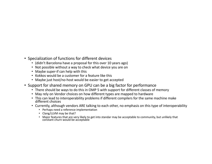- Specialization of functions for different devices
	- (didn't Barcelona have a proposal for this over 10 years ago)
	- Not possible without a way to check what device you are on
	- Maybe super-if can help with this
	- Kokkos would be a customer for a feature like this
	- Maybe just host/no-host would be easier to get accepted
- Support for shared memory on GPU can be a big factor for performance
	- There should be ways to do this in OMP 5 with support for different classes of memory
	- May rely on Vendor choices on how different types are mapped to hardware
	- This can lead to interoperability problems if different compilers for the same machine make different choices
	- Currently, although vendors ARE talking to each other, no emphasis on this type of interoperability
		- Perhaps need a reference implementation
		- Clang/LLVM may be that?
		- Major features that are very likely to get into standar may be acceptable to community, but unlikely that constant churn would be acceptable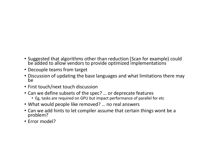- Suggested that algorithms other than reduction (Scan for example) could be added to allow vendors to provide optimized implementations
- Decouple teams from target
- Discussion of updating the base languages and what limitations there may be
- First touch/next touch discussion
- Can we define subsets of the spec? ... or deprecate features
	- Eg, tasks are required on GPU but impact performance of parallel for etc
- What would people like removed? ... no real answers
- Can we add hints to let compiler assume that certain things wont be a problem?
- Error model?